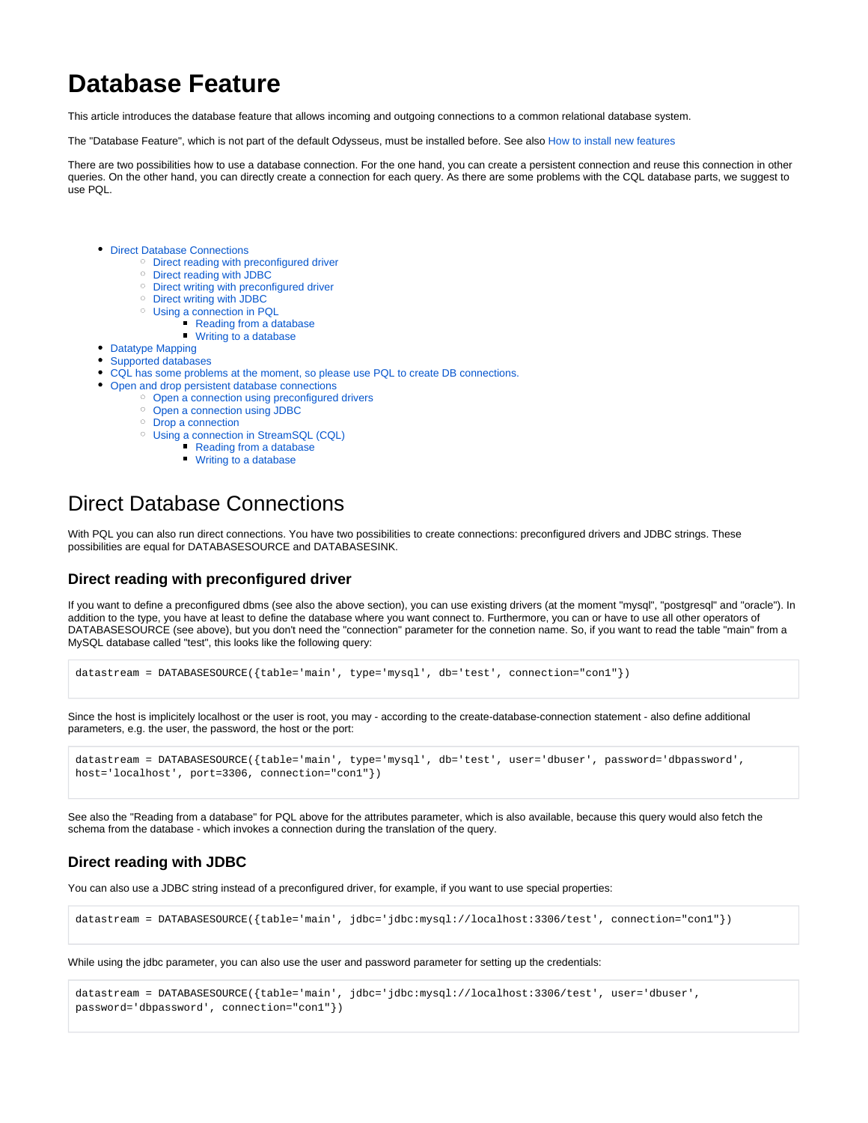# **Database Feature**

This article introduces the database feature that allows incoming and outgoing connections to a common relational database system.

The "Database Feature", which is not part of the default Odysseus, must be installed before. See also [How to install new features](https://wiki.odysseus.informatik.uni-oldenburg.de/display/ODYSSEUS/How+to+install+new+features)

There are two possibilities how to use a database connection. For the one hand, you can create a persistent connection and reuse this connection in other queries. On the other hand, you can directly create a connection for each query. As there are some problems with the CQL database parts, we suggest to use PQL.

- [Direct Database Connections](#page-0-0)
	- [Direct reading with preconfigured driver](#page-0-1)
	- [Direct reading with JDBC](#page-0-2)
	- [Direct writing with preconfigured driver](#page-0-3)
	- [Direct writing with JDBC](#page-1-0)
	- [Using a connection in PQL](#page-1-1)
		- **[Reading from a database](#page-1-2)** 
			- [Writing to a database](#page-2-0)
- [Datatype Mapping](#page-2-1)
- [Supported databases](#page-4-0)
- [CQL has some problems at the moment, so please use PQL to create DB connections.](#page-4-1)
- [Open and drop persistent database connections](#page-4-2)
	- [Open a connection using preconfigured drivers](#page-4-3)
	- [Open a connection using JDBC](#page-5-0)
	- [Drop a connection](#page-5-1)
	- [Using a connection in StreamSQL \(CQL\)](#page-5-2)
		- **[Reading from a database](#page-5-3)**
		- [Writing to a database](#page-5-4)

# <span id="page-0-0"></span>Direct Database Connections

With PQL you can also run direct connections. You have two possibilities to create connections: preconfigured drivers and JDBC strings. These possibilities are equal for DATABASESOURCE and DATABASESINK.

### <span id="page-0-1"></span>**Direct reading with preconfigured driver**

If you want to define a preconfigured dbms (see also the above section), you can use existing drivers (at the moment "mysql", "postgresql" and "oracle"). In addition to the type, you have at least to define the database where you want connect to. Furthermore, you can or have to use all other operators of DATABASESOURCE (see above), but you don't need the "connection" parameter for the connetion name. So, if you want to read the table "main" from a MySQL database called "test", this looks like the following query:

```
datastream = DATABASESOURCE({table='main', type='mysql', db='test', connection="con1"})
```
Since the host is implicitely localhost or the user is root, you may - according to the create-database-connection statement - also define additional parameters, e.g. the user, the password, the host or the port:

```
datastream = DATABASESOURCE({table='main', type='mysql', db='test', user='dbuser', password='dbpassword', 
host='localhost', port=3306, connection="con1"})
```
See also the "Reading from a database" for PQL above for the attributes parameter, which is also available, because this query would also fetch the schema from the database - which invokes a connection during the translation of the query.

### <span id="page-0-2"></span>**Direct reading with JDBC**

You can also use a JDBC string instead of a preconfigured driver, for example, if you want to use special properties:

datastream = DATABASESOURCE({table='main', jdbc='jdbc:mysql://localhost:3306/test', connection="con1"})

While using the jdbc parameter, you can also use the user and password parameter for setting up the credentials:

```
datastream = DATABASESOURCE({table='main', jdbc='jdbc:mysql://localhost:3306/test', user='dbuser', 
password='dbpassword', connection="con1"})
```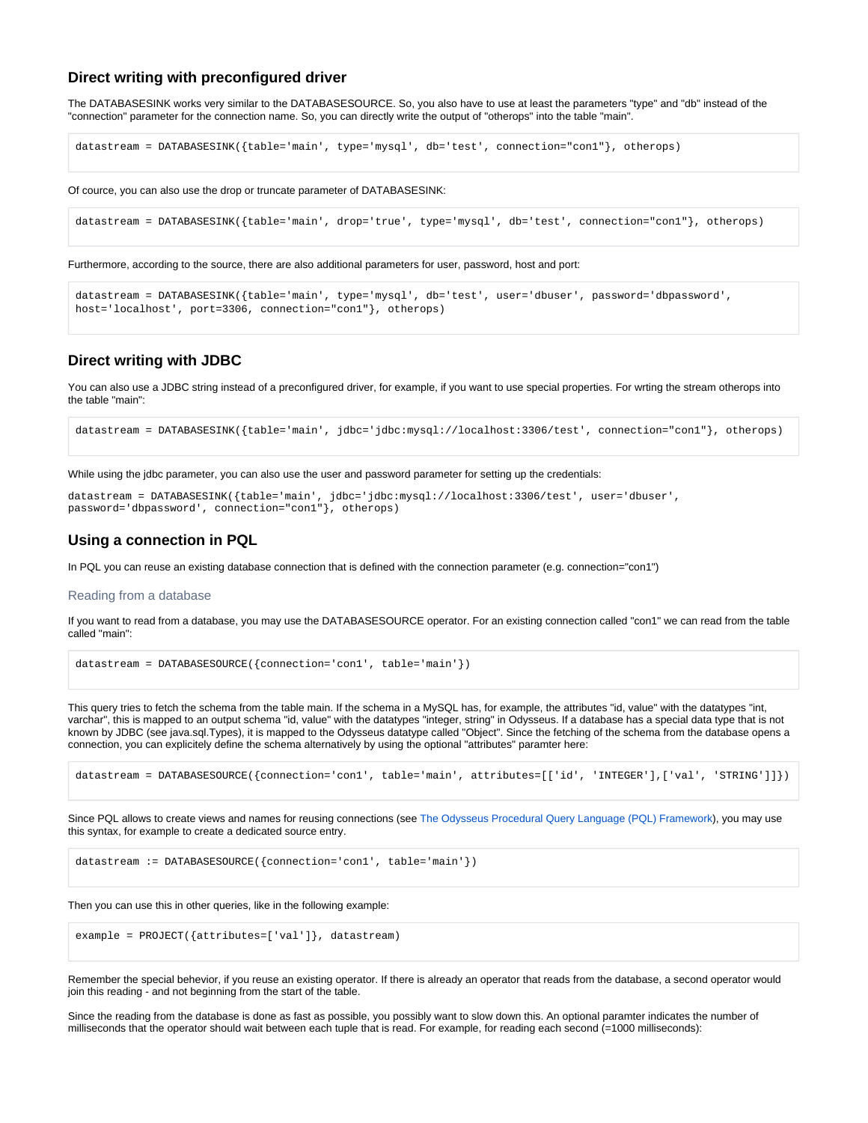### **Direct writing with preconfigured driver**

The DATABASESINK works very similar to the DATABASESOURCE. So, you also have to use at least the parameters "type" and "db" instead of the "connection" parameter for the connection name. So, you can directly write the output of "otherops" into the table "main".

```
datastream = DATABASESINK({table='main', type='mysql', db='test', connection="con1"}, otherops)
```
Of cource, you can also use the drop or truncate parameter of DATABASESINK:

datastream = DATABASESINK({table='main', drop='true', type='mysql', db='test', connection="con1"}, otherops)

Furthermore, according to the source, there are also additional parameters for user, password, host and port:

```
datastream = DATABASESINK({table='main', type='mysql', db='test', user='dbuser', password='dbpassword', 
host='localhost', port=3306, connection="con1"}, otherops)
```
### <span id="page-1-0"></span>**Direct writing with JDBC**

You can also use a JDBC string instead of a preconfigured driver, for example, if you want to use special properties. For wrting the stream otherops into the table "main":

datastream = DATABASESINK({table='main', jdbc='jdbc:mysql://localhost:3306/test', connection="con1"}, otherops)

While using the jdbc parameter, you can also use the user and password parameter for setting up the credentials:

```
datastream = DATABASESINK({table='main', jdbc='jdbc:mysql://localhost:3306/test', user='dbuser', 
password='dbpassword', connection="con1"}, otherops)
```
### <span id="page-1-1"></span>**Using a connection in PQL**

In PQL you can reuse an existing database connection that is defined with the connection parameter (e.g. connection="con1")

#### <span id="page-1-2"></span>Reading from a database

If you want to read from a database, you may use the DATABASESOURCE operator. For an existing connection called "con1" we can read from the table called "main":

datastream = DATABASESOURCE({connection='con1', table='main'})

This query tries to fetch the schema from the table main. If the schema in a MySQL has, for example, the attributes "id, value" with the datatypes "int, varchar", this is mapped to an output schema "id, value" with the datatypes "integer, string" in Odysseus. If a database has a special data type that is not known by JDBC (see java.sql.Types), it is mapped to the Odysseus datatype called "Object". Since the fetching of the schema from the database opens a connection, you can explicitely define the schema alternatively by using the optional "attributes" paramter here:

```
datastream = DATABASESOURCE({connection='con1', table='main', attributes=[['id', 'INTEGER'],['val', 'STRING']]})
```
Since PQL allows to create views and names for reusing connections (see [The Odysseus Procedural Query Language \(PQL\) Framework\)](https://wiki.odysseus.informatik.uni-oldenburg.de/display/ODYSSEUS/The+Odysseus+Procedural+Query+Language+%28PQL%29+Framework), you may use this syntax, for example to create a dedicated source entry.

datastream := DATABASESOURCE({connection='con1', table='main'})

Then you can use this in other queries, like in the following example:

```
example = PROJECT({attributes=['val']}, datastream)
```
Remember the special behevior, if you reuse an existing operator. If there is already an operator that reads from the database, a second operator would join this reading - and not beginning from the start of the table.

Since the reading from the database is done as fast as possible, you possibly want to slow down this. An optional paramter indicates the number of milliseconds that the operator should wait between each tuple that is read. For example, for reading each second (=1000 milliseconds):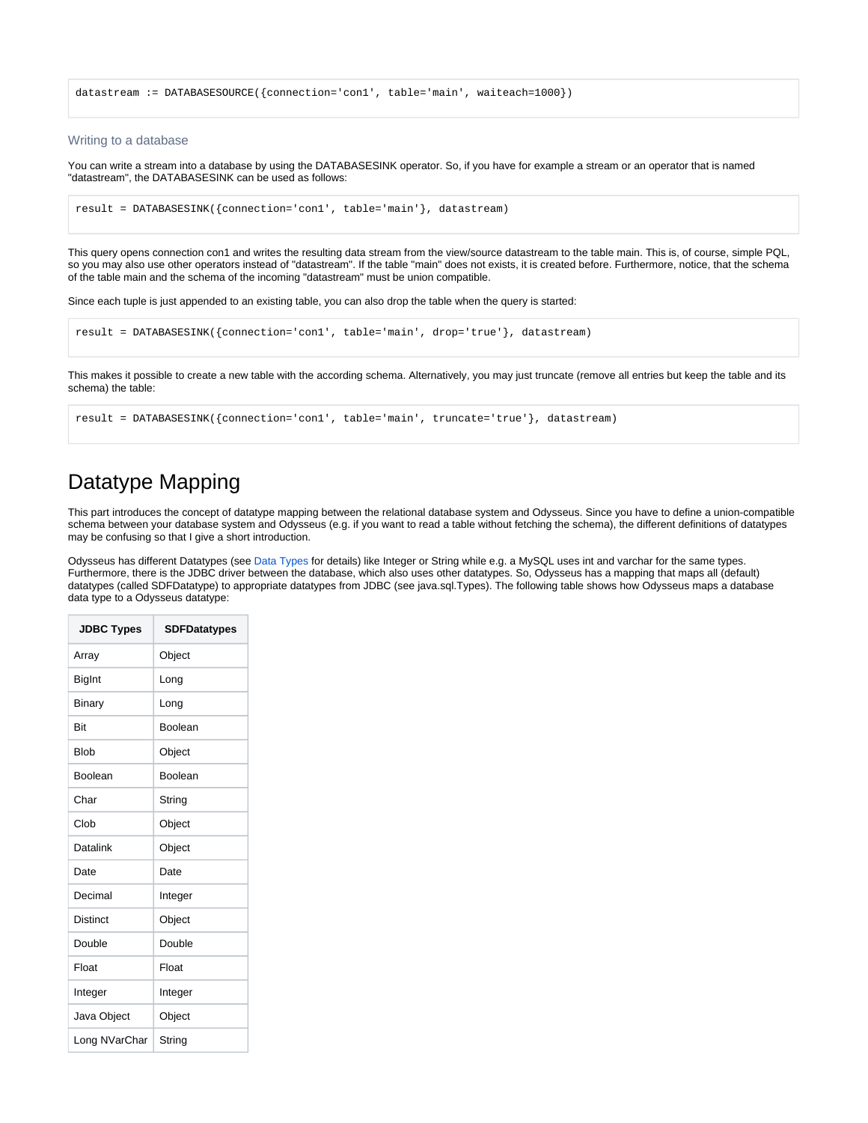datastream := DATABASESOURCE({connection='con1', table='main', waiteach=1000})

### <span id="page-2-0"></span>Writing to a database

You can write a stream into a database by using the DATABASESINK operator. So, if you have for example a stream or an operator that is named "datastream", the DATABASESINK can be used as follows:

```
result = DATABASESINK({connection='con1', table='main'}, datastream)
```
This query opens connection con1 and writes the resulting data stream from the view/source datastream to the table main. This is, of course, simple PQL, so you may also use other operators instead of "datastream". If the table "main" does not exists, it is created before. Furthermore, notice, that the schema of the table main and the schema of the incoming "datastream" must be union compatible.

Since each tuple is just appended to an existing table, you can also drop the table when the query is started:

```
result = DATABASESINK({connection='con1', table='main', drop='true'}, datastream)
```
This makes it possible to create a new table with the according schema. Alternatively, you may just truncate (remove all entries but keep the table and its schema) the table:

```
result = DATABASESINK({connection='con1', table='main', truncate='true'}, datastream)
```
## <span id="page-2-1"></span>Datatype Mapping

This part introduces the concept of datatype mapping between the relational database system and Odysseus. Since you have to define a union-compatible schema between your database system and Odysseus (e.g. if you want to read a table without fetching the schema), the different definitions of datatypes may be confusing so that I give a short introduction.

Odysseus has different Datatypes (see [Data Types](https://wiki.odysseus.informatik.uni-oldenburg.de/display/ODYSSEUS/Data+Types) for details) like Integer or String while e.g. a MySQL uses int and varchar for the same types. Furthermore, there is the JDBC driver between the database, which also uses other datatypes. So, Odysseus has a mapping that maps all (default) datatypes (called SDFDatatype) to appropriate datatypes from JDBC (see java.sql.Types). The following table shows how Odysseus maps a database data type to a Odysseus datatype:

| <b>JDBC Types</b> | <b>SDFDatatypes</b> |
|-------------------|---------------------|
| Array             | Object              |
| <b>BigInt</b>     | Long                |
| Binary            | Long                |
| <b>Bit</b>        | Boolean             |
| <b>Blob</b>       | Object              |
| Boolean           | Boolean             |
| Char              | String              |
| Clob              | Object              |
| Datalink          | Object              |
| Date              | Date                |
| Decimal           | Integer             |
| <b>Distinct</b>   | Object              |
| Double            | Double              |
| Float             | Float               |
| Integer           | Integer             |
| Java Object       | Object              |
| Long NVarChar     | String              |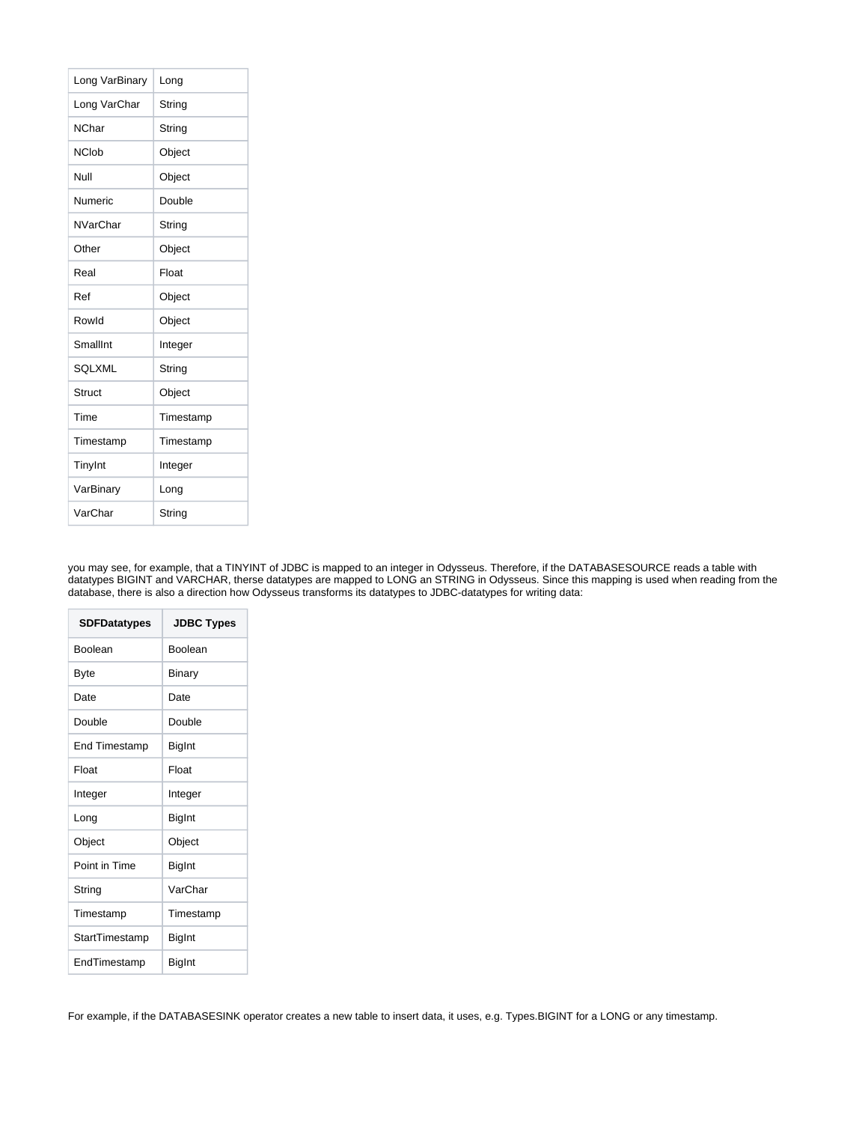| Long VarBinary  | Long      |
|-----------------|-----------|
| Long VarChar    | String    |
| <b>NChar</b>    | String    |
| <b>NClob</b>    | Object    |
| Null            | Object    |
| Numeric         | Double    |
| <b>NVarChar</b> | String    |
| Other           | Object    |
| Real            | Float     |
| Ref             | Object    |
| Rowld           | Object    |
| SmallInt        | Integer   |
| <b>SQLXML</b>   | String    |
| Struct          | Object    |
| Time            | Timestamp |
| Timestamp       | Timestamp |
| TinyInt         | Integer   |
| VarBinary       | Long      |
| VarChar         | String    |

you may see, for example, that a TINYINT of JDBC is mapped to an integer in Odysseus. Therefore, if the DATABASESOURCE reads a table with datatypes BIGINT and VARCHAR, therse datatypes are mapped to LONG an STRING in Odysseus. Since this mapping is used when reading from the database, there is also a direction how Odysseus transforms its datatypes to JDBC-datatypes for writing data:

| <b>SDFDatatypes</b>  | <b>JDBC Types</b> |
|----------------------|-------------------|
| <b>Boolean</b>       | Boolean           |
| Byte                 | Binary            |
| Date                 | Date              |
| Double               | Double            |
| <b>End Timestamp</b> | BigInt            |
| Float                | Float             |
| Integer              | Integer           |
| Long                 | <b>BigInt</b>     |
| Object               | Object            |
| Point in Time        | BigInt            |
| String               | VarChar           |
| Timestamp            | Timestamp         |
| StartTimestamp       | <b>BigInt</b>     |
| EndTimestamp         | BigInt            |

For example, if the DATABASESINK operator creates a new table to insert data, it uses, e.g. Types.BIGINT for a LONG or any timestamp.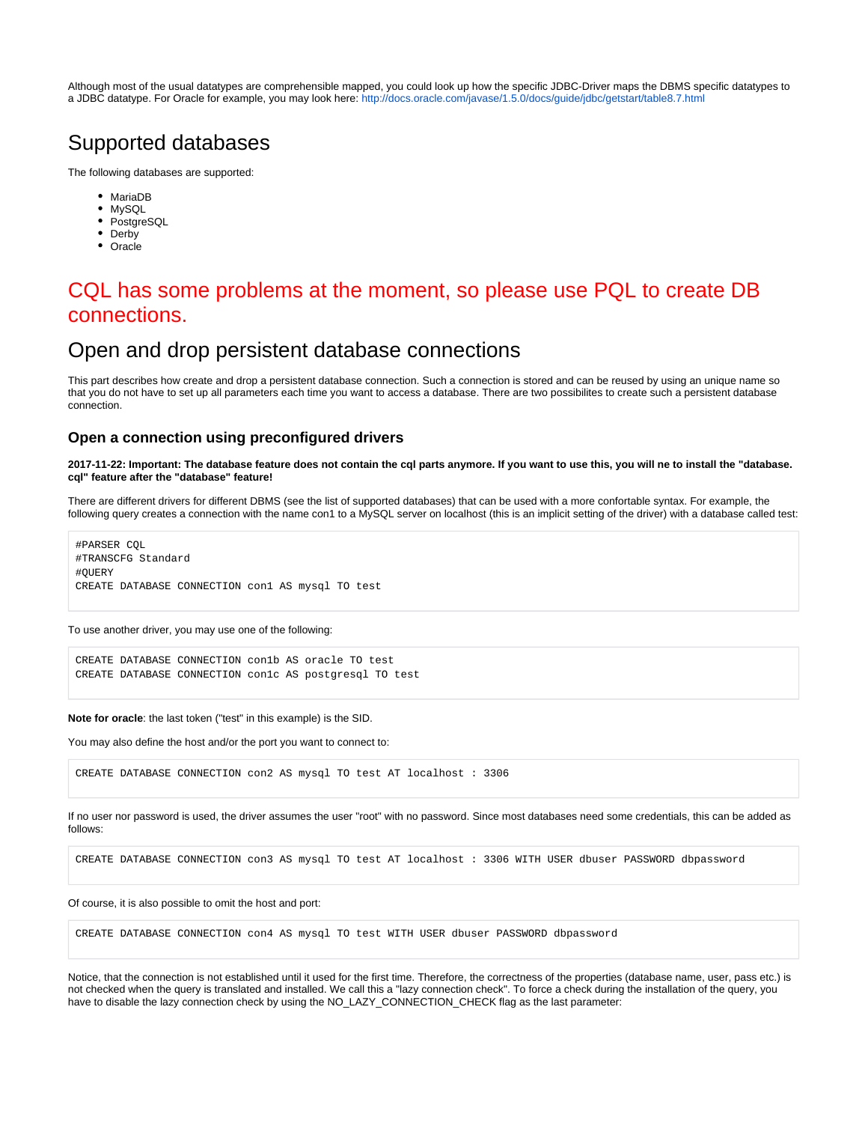Although most of the usual datatypes are comprehensible mapped, you could look up how the specific JDBC-Driver maps the DBMS specific datatypes to a JDBC datatype. For Oracle for example, you may look here:<http://docs.oracle.com/javase/1.5.0/docs/guide/jdbc/getstart/table8.7.html>

# <span id="page-4-0"></span>Supported databases

The following databases are supported:

- MariaDB
- MySQL
- PostgreSQL
- Derby
- Oracle

# <span id="page-4-1"></span>CQL has some problems at the moment, so please use PQL to create DB connections.

## <span id="page-4-2"></span>Open and drop persistent database connections

This part describes how create and drop a persistent database connection. Such a connection is stored and can be reused by using an unique name so that you do not have to set up all parameters each time you want to access a database. There are two possibilites to create such a persistent database connection.

### <span id="page-4-3"></span>**Open a connection using preconfigured drivers**

**2017-11-22: Important: The database feature does not contain the cql parts anymore. If you want to use this, you will ne to install the "database. cql" feature after the "database" feature!**

There are different drivers for different DBMS (see the list of supported databases) that can be used with a more confortable syntax. For example, the following query creates a connection with the name con1 to a MySQL server on localhost (this is an implicit setting of the driver) with a database called test:

#PARSER CQL #TRANSCFG Standard #QUERY CREATE DATABASE CONNECTION con1 AS mysql TO test

To use another driver, you may use one of the following:

CREATE DATABASE CONNECTION con1b AS oracle TO test CREATE DATABASE CONNECTION con1c AS postgresql TO test

**Note for oracle**: the last token ("test" in this example) is the SID.

You may also define the host and/or the port you want to connect to:

CREATE DATABASE CONNECTION con2 AS mysql TO test AT localhost : 3306

If no user nor password is used, the driver assumes the user "root" with no password. Since most databases need some credentials, this can be added as follows:

CREATE DATABASE CONNECTION con3 AS mysql TO test AT localhost : 3306 WITH USER dbuser PASSWORD dbpassword

#### Of course, it is also possible to omit the host and port:

CREATE DATABASE CONNECTION con4 AS mysql TO test WITH USER dbuser PASSWORD dbpassword

Notice, that the connection is not established until it used for the first time. Therefore, the correctness of the properties (database name, user, pass etc.) is not checked when the query is translated and installed. We call this a "lazy connection check". To force a check during the installation of the query, you have to disable the lazy connection check by using the NO\_LAZY\_CONNECTION\_CHECK flag as the last parameter: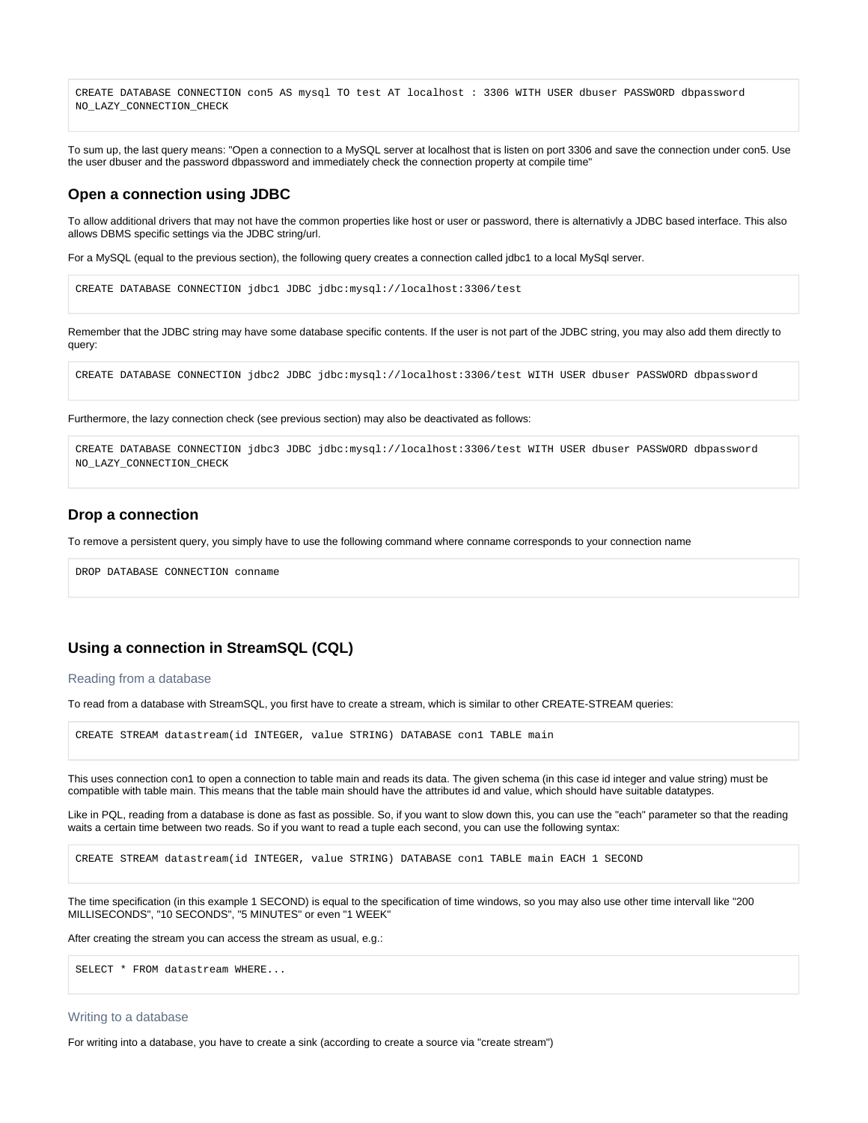CREATE DATABASE CONNECTION con5 AS mysql TO test AT localhost : 3306 WITH USER dbuser PASSWORD dbpassword NO\_LAZY\_CONNECTION\_CHECK

To sum up, the last query means: "Open a connection to a MySQL server at localhost that is listen on port 3306 and save the connection under con5. Use the user dbuser and the password dbpassword and immediately check the connection property at compile time"

### <span id="page-5-0"></span>**Open a connection using JDBC**

To allow additional drivers that may not have the common properties like host or user or password, there is alternativly a JDBC based interface. This also allows DBMS specific settings via the JDBC string/url.

For a MySQL (equal to the previous section), the following query creates a connection called jdbc1 to a local MySql server.

```
CREATE DATABASE CONNECTION jdbc1 JDBC jdbc:mysql://localhost:3306/test
```
Remember that the JDBC string may have some database specific contents. If the user is not part of the JDBC string, you may also add them directly to query:

```
CREATE DATABASE CONNECTION jdbc2 JDBC jdbc:mysql://localhost:3306/test WITH USER dbuser PASSWORD dbpassword
```
Furthermore, the lazy connection check (see previous section) may also be deactivated as follows:

CREATE DATABASE CONNECTION jdbc3 JDBC jdbc:mysql://localhost:3306/test WITH USER dbuser PASSWORD dbpassword NO\_LAZY\_CONNECTION\_CHECK

### <span id="page-5-1"></span>**Drop a connection**

To remove a persistent query, you simply have to use the following command where conname corresponds to your connection name

DROP DATABASE CONNECTION conname

## <span id="page-5-2"></span>**Using a connection in StreamSQL (CQL)**

### <span id="page-5-3"></span>Reading from a database

To read from a database with StreamSQL, you first have to create a stream, which is similar to other CREATE-STREAM queries:

CREATE STREAM datastream(id INTEGER, value STRING) DATABASE con1 TABLE main

This uses connection con1 to open a connection to table main and reads its data. The given schema (in this case id integer and value string) must be compatible with table main. This means that the table main should have the attributes id and value, which should have suitable datatypes.

Like in PQL, reading from a database is done as fast as possible. So, if you want to slow down this, you can use the "each" parameter so that the reading waits a certain time between two reads. So if you want to read a tuple each second, you can use the following syntax:

CREATE STREAM datastream(id INTEGER, value STRING) DATABASE con1 TABLE main EACH 1 SECOND

The time specification (in this example 1 SECOND) is equal to the specification of time windows, so you may also use other time intervall like "200 MILLISECONDS", "10 SECONDS", "5 MINUTES" or even "1 WEEK"

After creating the stream you can access the stream as usual, e.g.:

SELECT \* FROM datastream WHERE...

#### <span id="page-5-4"></span>Writing to a database

For writing into a database, you have to create a sink (according to create a source via "create stream")